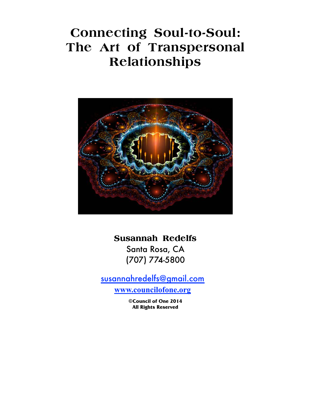# **Connecting Soul-to-Soul: The Art of Transpersonal Relationships**



**Susannah Redelfs** 

 Santa Rosa, CA  (707) 774-5800

susannahredelfs@gmail.com

**www.councilofone.org**

**©Council of One 2014 All Rights Reserved**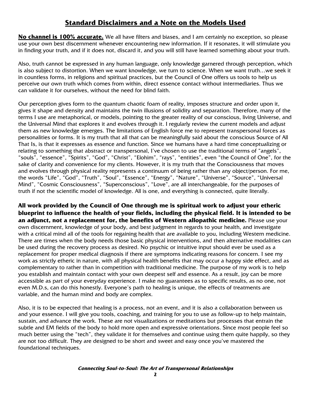# **Standard Disclaimers and a Note on the Models Used**

**No channel is 100% accurate.** We all have filters and biases, and I am certainly no exception, so please use your own best discernment whenever encountering new information. If it resonates, it will stimulate you in finding your truth, and if it does not, discard it, and you will still have learned something about your truth.

Also, truth cannot be expressed in any human language, only knowledge garnered through perception, which is also subject to distortion. When we want knowledge, we turn to science. When we want truth…we seek it in countless forms, in religions and spiritual practices, but the Council of One offers us tools to help us perceive our own truth which comes from within, direct essence contact without intermediaries. Thus we can validate it for ourselves, without the need for blind faith.

Our perception gives form to the quantum chaotic foam of reality, imposes structure and order upon it, gives it shape and density and maintains the twin illusions of solidity and separation. Therefore, many of the terms I use are metaphorical, or models, pointing to the greater reality of our conscious, living Universe, and the Universal Mind that explores it and evolves through it. I regularly review the current models and adjust them as new knowledge emerges. The limitations of English force me to represent transpersonal forces as personalities or forms. It is my truth that all that can be meaningfully said about the conscious Source of All That Is, is that it expresses as essence and function. Since we humans have a hard time conceptualizing or relating to something that abstract or transpersonal, I've chosen to use the traditional terms of "angels", "souls", "essence", "Spirits", "God", "Christ", "Elohim", "rays", "entities", even "the Council of One", for the sake of clarity and convenience for my clients. However, it is my truth that the Consciousness that moves and evolves through physical reality represents a continuum of being rather than any object/person. For me, the words "Life", "God", "Truth", "Soul", "Essence", "Energy", "Nature", "Universe", "Source", "Universal Mind", "Cosmic Consciousness", "Superconscious", "Love", are all interchangeable, for the purposes of truth if not the scientific model of knowledge. All is one, and everything is connected, quite literally.

**All work provided by the Council of One through me is spiritual work to adjust your etheric blueprint to influence the health of your fields, including the physical field. It is intended to be an adjunct, not a replacement for, the benefits of Western allopathic medicine.** Please use your own discernment, knowledge of your body, and best judgment in regards to your health, and investigate with a critical mind all of the tools for regaining health that are available to you, including Western medicine. There are times when the body needs those basic physical interventions, and then alternative modalities can be used during the recovery process as desired. No psychic or intuitive input should ever be used as a replacement for proper medical diagnosis if there are symptoms indicating reasons for concern. I see my work as strictly etheric in nature, with all physical health benefits that may occur a happy side effect, and as complementary to rather than in competition with traditional medicine. The purpose of my work is to help you establish and maintain contact with your own deepest self and essence. As a result, joy can be more accessible as part of your everyday experience. I make no guarantees as to specific results, as no one, not even M.D.s, can do this honestly. Everyone's path to healing is unique, the effects of treatments are variable, and the human mind and body are complex.

Also, it is to be expected that healing is a process, not an event, and it is also a collaboration between us and your essence. I will give you tools, coaching, and training for you to use as follow-up to help maintain, sustain, and advance the work. These are not visualizations or meditations but processes that entrain the subtle and EM fields of the body to hold more open and expressive orientations. Since most people feel so much better using the "tech", they validate it for themselves and continue using them quite happily, so they are not too difficult. They are designed to be short and sweet and easy once you've mastered the foundational techniques.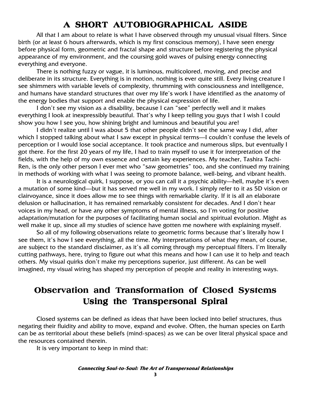# **A SHORT AUTOBIOGRAPHICAL ASIDE SHORT**

All that I am about to relate is what I have observed through my unusual visual filters. Since birth (or at least 6 hours afterwards, which is my first conscious memory), I have seen energy before physical form, geometric and fractal shape and structure before registering the physical appearance of my environment, and the coursing gold waves of pulsing energy connecting everything and everyone.

There is nothing fuzzy or vague, it is luminous, multicolored, moving, and precise and deliberate in its structure. Everything is in motion, nothing is ever quite still. Every living creature I see shimmers with variable levels of complexity, thrumming with consciousness and intelligence, and humans have standard structures that over my life's work I have identified as the anatomy of the energy bodies that support and enable the physical expression of life.

I don't see my vision as a disability, because I can "see" perfectly well and it makes everything I look at inexpressibly beautiful. That's why I keep telling you guys that I wish I could show you how I see you, how shining bright and luminous and beautiful you are!

I didn't realize until I was about 5 that other people didn't see the same way I did, after which I stopped talking about what I saw except in physical terms—I couldn't confuse the levels of perception or I would lose social acceptance. It took practice and numerous slips, but eventually I got there. For the first 20 years of my life, I had to train myself to use it for interpretation of the fields, with the help of my own essence and certain key experiences. My teacher, Tashira Tachi-Ren, is the only other person I ever met who "saw geometries" too, and she continued my training in methods of working with what I was seeing to promote balance, well-being, and vibrant health.

It is a neurological quirk, I suppose, or you can call it a psychic ability—hell, maybe it's even a mutation of some kind—but it has served me well in my work. I simply refer to it as 5D vision or clairvoyance, since it does allow me to see things with remarkable clarity. If it is all an elaborate delusion or hallucination, it has remained remarkably consistent for decades. And I don't hear voices in my head, or have any other symptoms of mental illness, so I'm voting for positive adaptation/mutation for the purposes of facilitating human social and spiritual evolution. Might as well make it up, since all my studies of science have gotten me nowhere with explaining myself.

So all of my following observations relate to geometric forms because that's literally how I see them, it's how I see everything, all the time. My interpretations of what they mean, of course, are subject to the standard disclaimer, as it's all coming through my perceptual filters. I'm literally cutting pathways, here, trying to figure out what this means and how I can use it to help and teach others. My visual quirks don't make my perceptions superior, just different. As can be well imagined, my visual wiring has shaped my perception of people and reality in interesting ways.

# **Observation and Transformation of Closed Systems Using the Transpersonal Spiral**

Closed systems can be defined as ideas that have been locked into belief structures, thus negating their fluidity and ability to move, expand and evolve. Often, the human species on Earth can be as territorial about these beliefs (mind-spaces) as we can be over literal physical space and the resources contained therein.

It is very important to keep in mind that: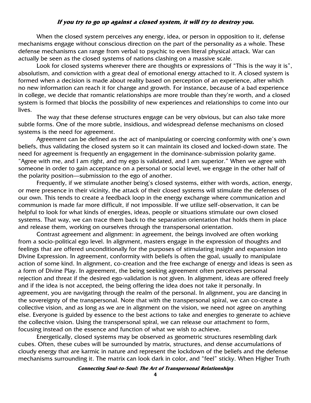#### **If you try to go up against a closed system, it will try to destroy you.**

When the closed system perceives any energy, idea, or person in opposition to it, defense mechanisms engage without conscious direction on the part of the personality as a whole. These defense mechanisms can range from verbal to psychic to even literal physical attack. War can actually be seen as the closed systems of nations clashing on a massive scale.

Look for closed systems wherever there are thoughts or expressions of "This is the way it is", absolutism, and conviction with a great deal of emotional energy attached to it. A closed system is formed when a decision is made about reality based on perception of an experience, after which no new information can reach it for change and growth. For instance, because of a bad experience in college, we decide that romantic relationships are more trouble than they're worth, and a closed system is formed that blocks the possibility of new experiences and relationships to come into our lives.

The way that these defense structures engage can be very obvious, but can also take more subtle forms. One of the more subtle, insidious, and widespread defense mechanisms on closed systems is the need for agreement.

Agreement can be defined as the act of manipulating or coercing conformity with one's own beliefs, thus validating the closed system so it can maintain its closed and locked-down state. The need for agreement is frequently an engagement in the dominance-submission polarity game. "Agree with me, and I am right, and my ego is validated, and I am superior." When we agree with someone in order to gain acceptance on a personal or social level, we engage in the other half of the polarity position—submission to the ego of another.

Frequently, if we stimulate another being's closed systems, either with words, action, energy, or mere presence in their vicinity, the attack of their closed systems will stimulate the defenses of our own. This tends to create a feedback loop in the energy exchange where communication and communion is made far more difficult, if not impossible. If we utilize self-observation, it can be helpful to look for what kinds of energies, ideas, people or situations stimulate our own closed systems. That way, we can trace them back to the separation orientation that holds them in place and release them, working on ourselves through the transpersonal orientation.

Contrast agreement and alignment: in agreement, the beings involved are often working from a socio-political ego level. In alignment, masters engage in the expression of thoughts and feelings that are offered unconditionally for the purposes of stimulating insight and expansion into Divine Expression. In agreement, conformity with beliefs is often the goal, usually to manipulate action of some kind. In alignment, co-creation and the free exchange of energy and ideas is seen as a form of Divine Play. In agreement, the being seeking agreement often perceives personal rejection and threat if the desired ego-validation is not given. In alignment, ideas are offered freely and if the idea is not accepted, the being offering the idea does not take it personally. In agreement, you are navigating through the realm of the personal. In alignment, you are dancing in the sovereignty of the transpersonal. Note that with the transpersonal spiral, we can co-create a collective vision, and as long as we are in alignment on the vision, we need not agree on anything else. Everyone is guided by essence to the best actions to take and energies to generate to achieve the collective vision. Using the transpersonal spiral, we can release our attachment to form, focusing instead on the essence and function of what we wish to achieve.

Energetically, closed systems may be observed as geometric structures resembling dark cubes. Often, these cubes will be surrounded by matrix, structures, and dense accumulations of cloudy energy that are karmic in nature and represent the lockdown of the beliefs and the defense mechanisms surrounding it. The matrix can look dark in color, and "feel" sticky. When Higher Truth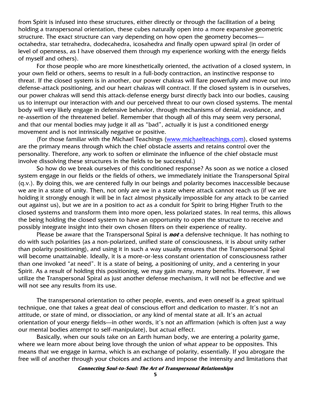from Spirit is infused into these structures, either directly or through the facilitation of a being holding a transpersonal orientation, these cubes naturally open into a more expansive geometric structure. The exact structure can vary depending on how open the geometry becomes octahedra, star tetrahedra, dodecahedra, icosahedra and finally open upward spiral (in order of level of openness, as I have observed them through my experience working with the energy fields of myself and others).

For those people who are more kinesthetically oriented, the activation of a closed system, in your own field or others, seems to result in a full-body contraction, an instinctive response to threat. If the closed system is in another, our power chakras will flare powerfully and move out into defense-attack positioning, and our heart chakras will contract. If the closed system is in ourselves, our power chakras will send this attack-defense energy burst directly back into our bodies, causing us to interrupt our interaction with and our perceived threat to our own closed systems. The mental body will very likely engage in defensive behavior, through mechanisms of denial, avoidance, and re-assertion of the threatened belief. Remember that though all of this may seem very personal, and that our mental bodies may judge it all as "bad", actually it is just a conditioned energy movement and is not intrinsically negative or positive.

(For those familiar with the Michael Teachings (www.michaelteachings.com), closed systems are the primary means through which the chief obstacle asserts and retains control over the personality. Therefore, any work to soften or eliminate the influence of the chief obstacle must involve dissolving these structures in the fields to be successful.)

So how do we break ourselves of this conditioned response? As soon as we notice a closed system engage in our fields or the fields of others, we immediately initiate the Transpersonal Spiral (q.v.). By doing this, we are centered fully in our beings and polarity becomes inaccessible because we are in a state of unity. Then, not only are we in a state where attack cannot reach us (if we are holding it strongly enough it will be in fact almost physically impossible for any attack to be carried out against us), but we are in a position to act as a conduit for Spirit to bring Higher Truth to the closed systems and transform them into more open, less polarized states. In real terms, this allows the being holding the closed system to have an opportunity to open the structure to receive and possibly integrate insight into their own chosen filters on their experience of reality.

Please be aware that the Transpersonal Spiral is **not** a defensive technique. It has nothing to do with such polarities (as a non-polarized, unified state of consciousness, it is about unity rather than polarity positioning), and using it in such a way usually ensures that the Transpersonal Spiral will become unattainable. Ideally, it is a more-or-less constant orientation of consciousness rather than one invoked "at need". It is a state of being, a positioning of unity, and a centering in your Spirit. As a result of holding this positioning, we may gain many, many benefits. However, if we utilize the Transpersonal Spiral as just another defense mechanism, it will not be effective and we will not see any results from its use.

The transpersonal orientation to other people, events, and even oneself is a great spiritual technique, one that takes a great deal of conscious effort and dedication to master. It's not an attitude, or state of mind, or dissociation, or any kind of mental state at all. It's an actual orientation of your energy fields—in other words, it's not an affirmation (which is often just a way our mental bodies attempt to self-manipulate), but actual effect.

Basically, when our souls take on an Earth human body, we are entering a polarity game, where we learn more about being love through the union of what appear to be opposites. This means that we engage in karma, which is an exchange of polarity, essentially. If you abrogate the free will of another through your choices and actions and impose the intensity and limitations that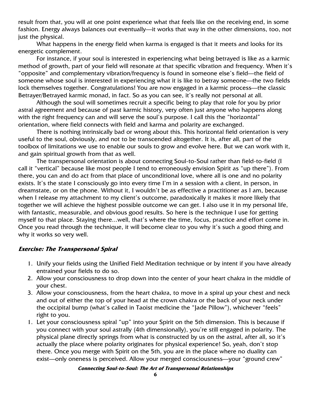result from that, you will at one point experience what that feels like on the receiving end, in some fashion. Energy always balances out eventually—it works that way in the other dimensions, too, not just the physical.

What happens in the energy field when karma is engaged is that it meets and looks for its energetic complement.

For instance, if your soul is interested in experiencing what being betrayed is like as a karmic method of growth, part of your field will resonate at that specific vibration and frequency. When it's "opposite" and complementary vibration/frequency is found in someone else's field—the field of someone whose soul is interested in experiencing what it is like to betray someone—the two fields lock themselves together. Congratulations! You are now engaged in a karmic process—the classic Betrayer/Betrayed karmic monad, in fact. So as you can see, it's really not personal at all.

Although the soul will sometimes recruit a specific being to play that role for you by prior astral agreement and because of past karmic history, very often just anyone who happens along with the right frequency can and will serve the soul's purpose. I call this the "horizontal" orientation, where field connects with field and karma and polarity are exchanged.

There is nothing intrinsically bad or wrong about this. This horizontal field orientation is very useful to the soul, obviously, and not to be transcended altogether. It is, after all, part of the toolbox of limitations we use to enable our souls to grow and evolve here. But we can work with it, and gain spiritual growth from that as well.

The transpersonal orientation is about connecting Soul-to-Soul rather than field-to-field (I call it "vertical" because like most people I tend to erroneously envision Spirit as "up there"). From there, you can and do act from that place of unconditional love, where all is one and no polarity exists. It's the state I consciously go into every time I'm in a session with a client, in person, in dreamstate, or on the phone. Without it, I wouldn't be as effective a practitioner as I am, because when I release my attachment to my client's outcome, paradoxically it makes it more likely that together we will achieve the highest possible outcome we can get. I also use it in my personal life, with fantastic, measurable, and obvious good results. So here is the technique I use for getting myself to that place. Staying there...well, that's where the time, focus, practice and effort come in. Once you read through the technique, it will become clear to you why it's such a good thing and why it works so very well.

### **Exercise: The Transpersonal Spiral**

- 1. Unify your fields using the Unified Field Meditation technique or by intent if you have already entrained your fields to do so.
- 2. Allow your consciousness to drop down into the center of your heart chakra in the middle of your chest.
- 3. Allow your consciousness, from the heart chakra, to move in a spiral up your chest and neck and out of either the top of your head at the crown chakra or the back of your neck under the occipital bump (what's called in Taoist medicine the "Jade Pillow"), whichever "feels" right to you.
- 1. Let your consciousness spiral "up" into your Spirit on the 5th dimension. This is because if you connect with your soul astrally (4th dimensionally), you're still engaged in polarity. The physical plane directly springs from what is constructed by us on the astral, after all, so it's actually the place where polarity originates for physical experience! So, yeah, don't stop there. Once you merge with Spirit on the 5th, you are in the place where no duality can exist—only oneness is perceived. Allow your merged consciousness—your "ground crew"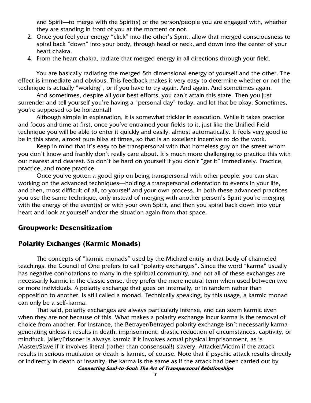and Spirit—to merge with the Spirit(s) of the person/people you are engaged with, whether they are standing in front of you at the moment or not.

- 2. Once you feel your energy "click" into the other's Spirit, allow that merged consciousness to spiral back "down" into your body, through head or neck, and down into the center of your heart chakra.
- 4. From the heart chakra, radiate that merged energy in all directions through your field.

You are basically radiating the merged 5th dimensional energy of yourself and the other. The effect is immediate and obvious. This feedback makes it very easy to determine whether or not the technique is actually "working", or if you have to try again. And again. And sometimes again.

And sometimes, despite all your best efforts, you can't attain this state. Then you just surrender and tell yourself you're having a "personal day" today, and let that be okay. Sometimes, you're supposed to be horizontal!

Although simple in explanation, it is somewhat trickier in execution. While it takes practice and focus and time at first, once you've entrained your fields to it, just like the Unified Field technique you will be able to enter it quickly and easily, almost automatically. It feels very good to be in this state, almost pure bliss at times, so that is an excellent incentive to do the work.

Keep in mind that it's easy to be transpersonal with that homeless guy on the street whom you don't know and frankly don't really care about. It's much more challenging to practice this with our nearest and dearest. So don't be hard on yourself if you don't "get it" immediately. Practice, practice, and more practice.

Once you've gotten a good grip on being transpersonal with other people, you can start working on the advanced techniques—holding a transpersonal orientation to events in your life, and then, most difficult of all, to yourself and your own process. In both these advanced practices you use the same technique, only instead of merging with another person's Spirit you're merging with the energy of the event(s) or with your own Spirit, and then you spiral back down into your heart and look at yourself and/or the situation again from that space.

#### **Groupwork: Desensitization**

### **Polarity Exchanges (Karmic Monads)**

The concepts of "karmic monads" used by the Michael entity in that body of channeled teachings, the Council of One prefers to call "polarity exchanges". Since the word "karma" usually has negative connotations to many in the spiritual community, and not all of these exchanges are necessarily karmic in the classic sense, they prefer the more neutral term when used between two or more individuals. A polarity exchange that goes on internally, or in tandem rather than opposition to another, is still called a monad. Technically speaking, by this usage, a karmic monad can only be a self-karma.

**Connecting Soul-to-Soul: The Art of Transpersonal Relationships**  That said, polarity exchanges are always particularly intense, and can seem karmic even when they are not because of this. What makes a polarity exchange incur karma is the removal of choice from another. For instance, the Betrayer/Betrayed polarity exchange isn't necessarily karmagenerating unless it results in death, imprisonment, drastic reduction of circumstances, captivity, or mindfuck. Jailer/Prisoner is always karmic if it involves actual physical imprisonment, as is Master/Slave if it involves literal (rather than consensual!) slavery. Attacker/Victim if the attack results in serious mutilation or death is karmic, of course. Note that if psychic attack results directly or indirectly in death or insanity, the karma is the same as if the attack had been carried out by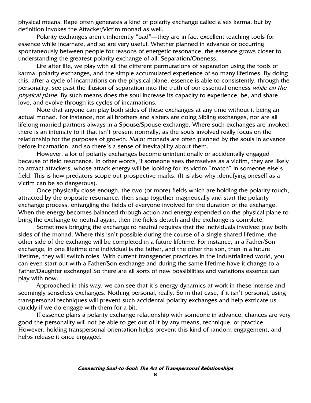physical means. Rape often generates a kind of polarity exchange called a sex karma, but by definition invokes the Attacker/Victim monad as well.

Polarity exchanges aren't inherently "bad"—they are in fact excellent teaching tools for essence while incarnate, and so are very useful. Whether planned in advance or occurring spontaneously between people for reasons of energetic resonance, the essence grows closer to understanding the greatest polarity exchange of all: Separation/Oneness.

Life after life, we play with all the different permutations of separation using the tools of karma, polarity exchanges, and the simple accumulated experience of so many lifetimes. By doing this, after a cycle of incarnations on the physical plane, essence is able to consistently, through the personality, see past the illusion of separation into the truth of our essential oneness while on the physical plane. By such means does the soul increase its capacity to experience, be, and share love, and evolve through its cycles of incarnations.

Note that anyone can play both sides of these exchanges at any time without it being an actual monad. For instance, not all brothers and sisters are doing Sibling exchanges, nor are all lifelong married partners always in a Spouse/Spouse exchange. Where such exchanges are invoked there is an intensity to it that isn't present normally, as the souls involved really focus on the relationship for the purposes of growth. Major monads are often planned by the souls in advance before incarnation, and so there's a sense of inevitability about them.

However, a lot of polarity exchanges become unintentionally or accidentally engaged because of field resonance. In other words, if someone sees themselves as a victim, they are likely to attract attackers, whose attack energy will be looking for its victim "match" in someone else's field. This is how predators scope out prospective marks. (It is also why identifying oneself as a victim can be so dangerous).

Once physically close enough, the two (or more) fields which are holding the polarity touch, attracted by the opposite resonance, then snap together magnetically and start the polarity exchange process, entangling the fields of everyone involved for the duration of the exchange. When the energy becomes balanced through action and energy expended on the physical plane to bring the exchange to neutral again, then the fields detach and the exchange is complete.

Sometimes bringing the exchange to neutral requires that the individuals involved play both sides of the monad. Where this isn't possible during the course of a single shared lifetime, the other side of the exchange will be completed in a future lifetime. For instance, in a Father/Son exchange, in one lifetime one individual is the father, and the other the son, then in a future lifetime, they will switch roles. With current transgender practices in the industrialized world, you can even start out with a Father/Son exchange and during the same lifetime have it change to a Father/Daughter exchange! So there are all sorts of new possibilities and variations essence can play with now.

Approached in this way, we can see that it's energy dynamics at work in these intense and seemingly senseless exchanges. Nothing personal, really. So in that case, if it isn't personal, using transpersonal techniques will prevent such accidental polarity exchanges and help extricate us quickly if we do engage with them for a bit.

If essence plans a polarity exchange relationship with someone in advance, chances are very good the personality will not be able to get out of it by any means, technique, or practice. However, holding transpersonal orientation helps prevent this kind of random engagement, and helps release it once engaged.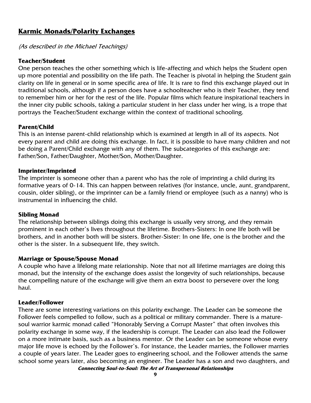# **Karmic Monads/Polarity Exchanges**

(As described in the Michael Teachings)

#### **Teacher/Student**

One person teaches the other something which is life-affecting and which helps the Student open up more potential and possibility on the life path. The Teacher is pivotal in helping the Student gain clarity on life in general or in some specific area of life. It is rare to find this exchange played out in traditional schools, although if a person does have a schoolteacher who is their Teacher, they tend to remember him or her for the rest of the life. Popular films which feature inspirational teachers in the inner city public schools, taking a particular student in her class under her wing, is a trope that portrays the Teacher/Student exchange within the context of traditional schooling.

### **Parent/Child**

This is an intense parent-child relationship which is examined at length in all of its aspects. Not every parent and child are doing this exchange. In fact, it is possible to have many children and not be doing a Parent/Child exchange with any of them. The subcategories of this exchange are: Father/Son, Father/Daughter, Mother/Son, Mother/Daughter.

#### **Imprinter/Imprinted**

The imprinter is someone other than a parent who has the role of imprinting a child during its formative years of 0-14. This can happen between relatives (for instance, uncle, aunt, grandparent, cousin, older sibling), or the imprinter can be a family friend or employee (such as a nanny) who is instrumental in influencing the child.

#### **Sibling Monad**

The relationship between siblings doing this exchange is usually very strong, and they remain prominent in each other's lives throughout the lifetime. Brothers-Sisters: In one life both will be brothers, and in another both will be sisters. Brother-Sister: In one life, one is the brother and the other is the sister. In a subsequent life, they switch.

### **Marriage or Spouse/Spouse Monad**

A couple who have a lifelong mate relationship. Note that not all lifetime marriages are doing this monad, but the intensity of the exchange does assist the longevity of such relationships, because the compelling nature of the exchange will give them an extra boost to persevere over the long haul.

#### **Leader/Follower**

**Connecting Soul-to-Soul: The Art of Transpersonal Relationships**  There are some interesting variations on this polarity exchange. The Leader can be someone the Follower feels compelled to follow, such as a political or military commander. There is a maturesoul warrior karmic monad called "Honorably Serving a Corrupt Master" that often involves this polarity exchange in some way, if the leadership is corrupt. The Leader can also lead the Follower on a more intimate basis, such as a business mentor. Or the Leader can be someone whose every major life move is echoed by the Follower's. For instance, the Leader marries, the Follower marries a couple of years later. The Leader goes to engineering school, and the Follower attends the same school some years later, also becoming an engineer. The Leader has a son and two daughters, and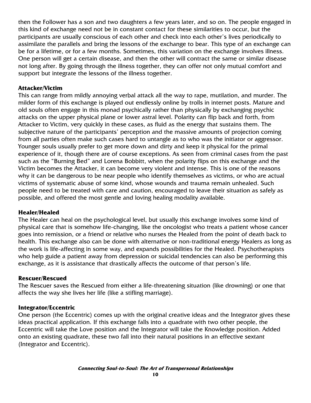then the Follower has a son and two daughters a few years later, and so on. The people engaged in this kind of exchange need not be in constant contact for these similarities to occur, but the participants are usually conscious of each other and check into each other's lives periodically to assimilate the parallels and bring the lessons of the exchange to bear. This type of an exchange can be for a lifetime, or for a few months. Sometimes, this variation on the exchange involves illness. One person will get a certain disease, and then the other will contract the same or similar disease not long after. By going through the illness together, they can offer not only mutual comfort and support but integrate the lessons of the illness together.

#### **Attacker/Victim**

This can range from mildly annoying verbal attack all the way to rape, mutilation, and murder. The milder form of this exchange is played out endlessly online by trolls in internet posts. Mature and old souls often engage in this monad psychically rather than physically by exchanging psychic attacks on the upper physical plane or lower astral level. Polarity can flip back and forth, from Attacker to Victim, very quickly in these cases, as fluid as the energy that sustains them. The subjective nature of the participants' perception and the massive amounts of projection coming from all parties often make such cases hard to untangle as to who was the initiator or aggressor. Younger souls usually prefer to get more down and dirty and keep it physical for the primal experience of it, though there are of course exceptions. As seen from criminal cases from the past such as the "Burning Bed" and Lorena Bobbitt, when the polarity flips on this exchange and the Victim becomes the Attacker, it can become very violent and intense. This is one of the reasons why it can be dangerous to be near people who identify themselves as victims, or who are actual victims of systematic abuse of some kind, whose wounds and trauma remain unhealed. Such people need to be treated with care and caution, encouraged to leave their situation as safely as possible, and offered the most gentle and loving healing modality available.

#### **Healer/Healed**

The Healer can heal on the psychological level, but usually this exchange involves some kind of physical care that is somehow life-changing, like the oncologist who treats a patient whose cancer goes into remission, or a friend or relative who nurses the Healed from the point of death back to health. This exchange also can be done with alternative or non-traditional energy Healers as long as the work is life-affecting in some way, and expands possibilities for the Healed. Psychotherapists who help guide a patient away from depression or suicidal tendencies can also be performing this exchange, as it is assistance that drastically affects the outcome of that person's life.

#### **Rescuer/Rescued**

The Rescuer saves the Rescued from either a life-threatening situation (like drowning) or one that affects the way she lives her life (like a stifling marriage).

#### **Integrator/Eccentric**

One person (the Eccentric) comes up with the original creative ideas and the Integrator gives these ideas practical application. If this exchange falls into a quadrate with two other people, the Eccentric will take the Love position and the Integrator will take the Knowledge position. Added onto an existing quadrate, these two fall into their natural positions in an effective sextant (Integrator and Eccentric).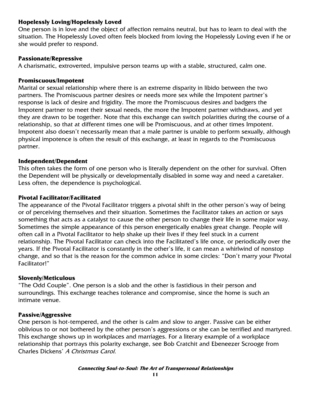### **Hopelessly Loving/Hopelessly Loved**

One person is in love and the object of affection remains neutral, but has to learn to deal with the situation. The Hopelessly Loved often feels blocked from loving the Hopelessly Loving even if he or she would prefer to respond.

#### **Passionate/Repressive**

A charismatic, extroverted, impulsive person teams up with a stable, structured, calm one.

#### **Promiscuous/Impotent**

Marital or sexual relationship where there is an extreme disparity in libido between the two partners. The Promiscuous partner desires or needs more sex while the Impotent partner's response is lack of desire and frigidity. The more the Promiscuous desires and badgers the Impotent partner to meet their sexual needs, the more the Impotent partner withdraws, and yet they are drawn to be together. Note that this exchange can switch polarities during the course of a relationship, so that at different times one will be Promiscuous, and at other times Impotent. Impotent also doesn't necessarily mean that a male partner is unable to perform sexually, although physical impotence is often the result of this exchange, at least in regards to the Promiscuous partner.

#### **Independent/Dependent**

This often takes the form of one person who is literally dependent on the other for survival. Often the Dependent will be physically or developmentally disabled in some way and need a caretaker. Less often, the dependence is psychological.

#### **Pivotal Facilitator/Facilitated**

The appearance of the Pivotal Facilitator triggers a pivotal shift in the other person's way of being or of perceiving themselves and their situation. Sometimes the Facilitator takes an action or says something that acts as a catalyst to cause the other person to change their life in some major way. Sometimes the simple appearance of this person energetically enables great change. People will often call in a Pivotal Facilitator to help shake up their lives if they feel stuck in a current relationship. The Pivotal Facilitator can check into the Facilitated's life once, or periodically over the years. If the Pivotal Facilitator is constantly in the other's life, it can mean a whirlwind of nonstop change, and so that is the reason for the common advice in some circles: "Don't marry your Pivotal Facilitator!"

### **Slovenly/Meticulous**

"The Odd Couple". One person is a slob and the other is fastidious in their person and surroundings. This exchange teaches tolerance and compromise, since the home is such an intimate venue.

### **Passive/Aggressive**

One person is hot-tempered, and the other is calm and slow to anger. Passive can be either oblivious to or not bothered by the other person's aggressions or she can be terrified and martyred. This exchange shows up in workplaces and marriages. For a literary example of a workplace relationship that portrays this polarity exchange, see Bob Cratchit and Ebeneezer Scrooge from Charles Dickens' A Christmas Carol.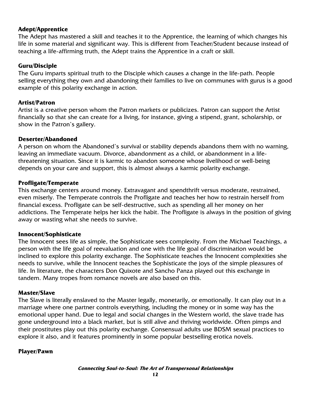### **Adept/Apprentice**

The Adept has mastered a skill and teaches it to the Apprentice, the learning of which changes his life in some material and significant way. This is different from Teacher/Student because instead of teaching a life-affirming truth, the Adept trains the Apprentice in a craft or skill.

### **Guru/Disciple**

The Guru imparts spiritual truth to the Disciple which causes a change in the life-path. People selling everything they own and abandoning their families to live on communes with gurus is a good example of this polarity exchange in action.

### **Artist/Patron**

Artist is a creative person whom the Patron markets or publicizes. Patron can support the Artist financially so that she can create for a living, for instance, giving a stipend, grant, scholarship, or show in the Patron's gallery.

### **Deserter/Abandoned**

A person on whom the Abandoned's survival or stability depends abandons them with no warning, leaving an immediate vacuum. Divorce, abandonment as a child, or abandonment in a lifethreatening situation. Since it is karmic to abandon someone whose livelihood or well-being depends on your care and support, this is almost always a karmic polarity exchange.

### **Profligate/Temperate**

This exchange centers around money. Extravagant and spendthrift versus moderate, restrained, even miserly. The Temperate controls the Profligate and teaches her how to restrain herself from financial excess. Profligate can be self-destructive, such as spending all her money on her addictions. The Temperate helps her kick the habit. The Profligate is always in the position of giving away or wasting what she needs to survive.

### **Innocent/Sophisticate**

The Innocent sees life as simple, the Sophisticate sees complexity. From the Michael Teachings, a person with the life goal of reevaluation and one with the life goal of discrimination would be inclined to explore this polarity exchange. The Sophisticate teaches the Innocent complexities she needs to survive, while the Innocent teaches the Sophisticate the joys of the simple pleasures of life. In literature, the characters Don Quixote and Sancho Panza played out this exchange in tandem. Many tropes from romance novels are also based on this.

### **Master/Slave**

The Slave is literally enslaved to the Master legally, monetarily, or emotionally. It can play out in a marriage where one partner controls everything, including the money or in some way has the emotional upper hand. Due to legal and social changes in the Western world, the slave trade has gone underground into a black market, but is still alive and thriving worldwide. Often pimps and their prostitutes play out this polarity exchange. Consensual adults use BDSM sexual practices to explore it also, and it features prominently in some popular bestselling erotica novels.

### **Player/Pawn**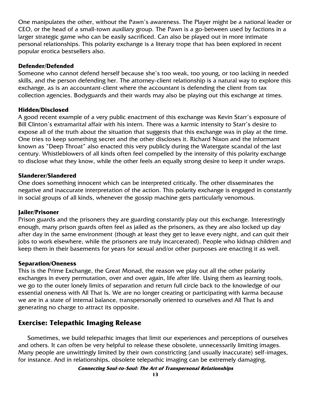One manipulates the other, without the Pawn's awareness. The Player might be a national leader or CEO, or the head of a small-town auxiliary group. The Pawn is a go-between used by factions in a larger strategic game who can be easily sacrificed. Can also be played out in more intimate personal relationships. This polarity exchange is a literary trope that has been explored in recent popular erotica bestsellers also.

### **Defender/Defended**

Someone who cannot defend herself because she's too weak, too young, or too lacking in needed skills, and the person defending her. The attorney-client relationship is a natural way to explore this exchange, as is an accountant-client where the accountant is defending the client from tax collection agencies. Bodyguards and their wards may also be playing out this exchange at times.

# **Hidden/Disclosed**

A good recent example of a very public enactment of this exchange was Kevin Starr's exposure of Bill Clinton's extramarital affair with his intern. There was a karmic intensity to Starr's desire to expose all of the truth about the situation that suggests that this exchange was in play at the time. One tries to keep something secret and the other discloses it. Richard Nixon and the informant known as "Deep Throat" also enacted this very publicly during the Watergate scandal of the last century. Whistleblowers of all kinds often feel compelled by the intensity of this polarity exchange to disclose what they know, while the other feels an equally strong desire to keep it under wraps.

# **Slanderer/Slandered**

One does something innocent which can be interpreted critically. The other disseminates the negative and inaccurate interpretation of the action. This polarity exchange is engaged in constantly in social groups of all kinds, whenever the gossip machine gets particularly venomous.

### **Jailer/Prisoner**

Prison guards and the prisoners they are guarding constantly play out this exchange. Interestingly enough, many prison guards often feel as jailed as the prisoners, as they are also locked up day after day in the same environment (though at least they get to leave every night, and can quit their jobs to work elsewhere, while the prisoners are truly incarcerated). People who kidnap children and keep them in their basements for years for sexual and/or other purposes are enacting it as well.

### **Separation/Oneness**

This is the Prime Exchange, the Great Monad, the reason we play out all the other polarity exchanges in every permutation, over and over again, life after life. Using them as learning tools, we go to the outer lonely limits of separation and return full circle back to the knowledge of our essential oneness with All That Is. We are no longer creating or participating with karma because we are in a state of internal balance, transpersonally oriented to ourselves and All That Is and generating no charge to attract its opposite.

# **Exercise: Telepathic Imaging Release**

Sometimes, we build telepathic images that limit our experiences and perceptions of ourselves and others. It can often be very helpful to release these obsolete, unnecessarily limiting images. Many people are unwittingly limited by their own constricting (and usually inaccurate) self-images, for instance. And in relationships, obsolete telepathic imaging can be extremely damaging.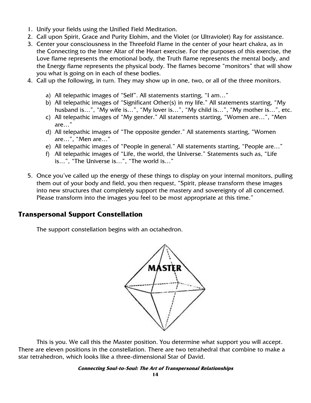- 1. Unify your fields using the Unified Field Meditation.
- 2. Call upon Spirit, Grace and Purity Elohim, and the Violet (or Ultraviolet) Ray for assistance.
- 3. Center your consciousness in the Threefold Flame in the center of your heart chakra, as in the Connecting to the Inner Altar of the Heart exercise. For the purposes of this exercise, the Love flame represents the emotional body, the Truth flame represents the mental body, and the Energy flame represents the physical body. The flames become "monitors" that will show you what is going on in each of these bodies.
- 4. Call up the following, in turn. They may show up in one, two, or all of the three monitors.
	- a) All telepathic images of "Self". All statements starting, "I am…"
	- b) All telepathic images of "Significant Other(s) in my life." All statements starting, "My husband is…", "My wife is…", "My lover is…", "My child is…", "My mother is…", etc.
	- c) All telepathic images of "My gender." All statements starting, "Women are…", "Men are…"
	- d) All telepathic images of "The opposite gender." All statements starting, "Women are…", "Men are…"
	- e) All telepathic images of "People in general." All statements starting, "People are…"
	- f) All telepathic images of "Life, the world, the Universe." Statements such as, "Life is…", "The Universe is…", "The world is…"
- 5. Once you've called up the energy of these things to display on your internal monitors, pulling them out of your body and field, you then request, "Spirit, please transform these images into new structures that completely support the mastery and sovereignty of all concerned. Please transform into the images you feel to be most appropriate at this time."

# **Transpersonal Support Constellation**

The support constellation begins with an octahedron.



This is you. We call this the Master position. You determine what support you will accept. There are eleven positions in the constellation. There are two tetrahedral that combine to make a star tetrahedron, which looks like a three-dimensional Star of David.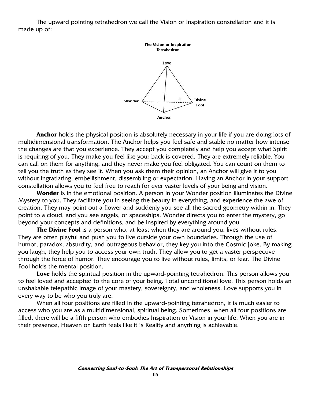The upward pointing tetrahedron we call the Vision or Inspiration constellation and it is made up of:



**Anchor** holds the physical position is absolutely necessary in your life if you are doing lots of multidimensional transformation. The Anchor helps you feel safe and stable no matter how intense the changes are that you experience. They accept you completely and help you accept what Spirit is requiring of you. They make you feel like your back is covered. They are extremely reliable. You can call on them for anything, and they never make you feel obligated. You can count on them to tell you the truth as they see it. When you ask them their opinion, an Anchor will give it to you without ingratiating, embellishment, dissembling or expectation. Having an Anchor in your support constellation allows you to feel free to reach for ever vaster levels of your being and vision.

**Wonder** is in the emotional position. A person in your Wonder position illuminates the Divine Mystery to you. They facilitate you in seeing the beauty in everything, and experience the awe of creation. They may point out a flower and suddenly you see all the sacred geometry within in. They point to a cloud, and you see angels, or spaceships. Wonder directs you to enter the mystery, go beyond your concepts and definitions, and be inspired by everything around you.

**The Divine Fool** is a person who, at least when they are around you, lives without rules. They are often playful and push you to live outside your own boundaries. Through the use of humor, paradox, absurdity, and outrageous behavior, they key you into the Cosmic Joke. By making you laugh, they help you to access your own truth. They allow you to get a vaster perspective through the force of humor. They encourage you to live without rules, limits, or fear. The Divine Fool holds the mental position.

**Love** holds the spiritual position in the upward-pointing tetrahedron. This person allows you to feel loved and accepted to the core of your being. Total unconditional love. This person holds an unshakable telepathic image of your mastery, sovereignty, and wholeness. Love supports you in every way to be who you truly are.

When all four positions are filled in the upward-pointing tetrahedron, it is much easier to access who you are as a multidimensional, spiritual being. Sometimes, when all four positions are filled, there will be a fifth person who embodies Inspiration or Vision in your life. When you are in their presence, Heaven on Earth feels like it is Reality and anything is achievable.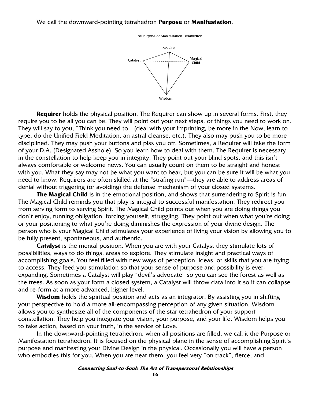#### We call the downward-pointing tetrahedron **Purpose** or **Manifestation**.

The Purpose or Manifestation Tetrahedron



**Requirer** holds the physical position. The Requirer can show up in several forms. First, they require you to be all you can be. They will point out your next steps, or things you need to work on. They will say to you, "Think you need to…(deal with your imprinting, be more in the Now, learn to type, do the Unified Field Meditation, an astral cleanse, etc.). They also may push you to be more disciplined. They may push your buttons and piss you off. Sometimes, a Requirer will take the form of your D.A. (Designated Asshole). So you learn how to deal with them. The Requirer is necessary in the constellation to help keep you in integrity. They point out your blind spots, and this isn't always comfortable or welcome news. You can usually count on them to be straight and honest with you. What they say may not be what you want to hear, but you can be sure it will be what you need to know. Requirers are often skilled at the "strafing run"—they are able to address areas of denial without triggering (or avoiding) the defense mechanism of your closed systems.

**The Magical Child** is in the emotional position, and shows that surrendering to Spirit is fun. The Magical Child reminds you that play is integral to successful manifestation. They redirect you from serving form to serving Spirit. The Magical Child points out when you are doing things you don't enjoy, running obligation, forcing yourself, struggling. They point out when what you're doing or your positioning to what you're doing diminishes the expression of your divine design. The person who is your Magical Child stimulates your experience of living your vision by allowing you to be fully present, spontaneous, and authentic.

**Catalyst** is the mental position. When you are with your Catalyst they stimulate lots of possibilities, ways to do things, areas to explore. They stimulate insight and practical ways of accomplishing goals. You feel filled with new ways of perception, ideas, or skills that you are trying to access. They feed you stimulation so that your sense of purpose and possibility is everexpanding. Sometimes a Catalyst will play "devil's advocate" so you can see the forest as well as the trees. As soon as your form a closed system, a Catalyst will throw data into it so it can collapse and re-form at a more advanced, higher level.

**Wisdom** holds the spiritual position and acts as an integrator. By assisting you in shifting your perspective to hold a more all-encompassing perception of any given situation, Wisdom allows you to synthesize all of the components of the star tetrahedron of your support constellation. They help you integrate your vision, your purpose, and your life. Wisdom helps you to take action, based on your truth, in the service of Love.

In the downward-pointing tetrahedron, when all positions are filled, we call it the Purpose or Manifestation tetrahedron. It is focused on the physical plane in the sense of accomplishing Spirit's purpose and manifesting your Divine Design in the physical. Occasionally you will have a person who embodies this for you. When you are near them, you feel very "on track", fierce, and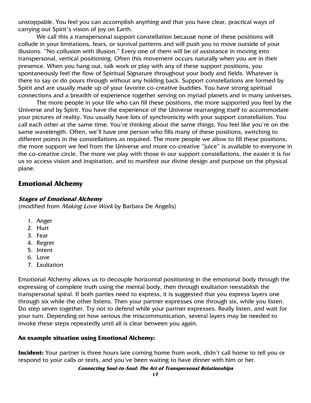unstoppable. You feel you can accomplish anything and that you have clear, practical ways of carrying out Spirit's vision of joy on Earth.

We call this a transpersonal support constellation because none of these positions will collude in your limitations, fears, or survival patterns and will push you to move outside of your illusions. "No collusion with illusion." Every one of them will be of assistance in moving into transpersonal, vertical positioning. Often this movement occurs naturally when you are in their presence. When you hang out, talk work or play with any of these support positions, you spontaneously feel the flow of Spiritual Signature throughout your body and fields. Whatever is there to say or do pours through without any holding back. Support constellations are formed by Spirit and are usually made up of your favorite co-creative buddies. You have strong spiritual connections and a breadth of experience together serving on myriad planets and in many universes.

The more people in your life who can fill these positions, the more supported you feel by the Universe and by Spirit. You have the experience of the Universe rearranging itself to accommodate your pictures of reality. You usually have lots of synchronicity with your support constellation. You call each other at the same time. You're thinking about the same things. You feel like you're on the same wavelength. Often, we'll have one person who fills many of these positions, switching to different points in the constellations as required. The more people we allow to fill these positions, the more support we feel from the Universe and more co-creative "juice" is available to everyone in the co-creative circle. The more we play with those in our support constellations, the easier it is for us to access vision and inspiration, and to manifest our divine design and purpose on the physical plane.

# **Emotional Alchemy**

#### **Stages of Emotional Alchemy**

(modified from *Making Love Work* by Barbara De Angelis)

- 1. Anger
- 2. Hurt
- 3. Fear
- 4. Regret
- 5. Intent
- 6. Love
- 7. Exultation

Emotional Alchemy allows us to decouple horizontal positioning in the emotional body through the expressing of complete truth using the mental body, then through exultation reestablish the transpersonal spiral. If both parties need to express, it is suggested that you express layers one through six while the other listens. Then your partner expresses one through six, while you listen. Do step seven together. Try not to defend while your partner expresses. Really listen, and wait for your turn. Depending on how serious the miscommunication, several layers may be needed to invoke these steps repeatedly until all is clear between you again.

### **An example situation using Emotional Alchemy:**

**Incident:** Your partner is three hours late coming home from work, didn't call home to tell you or respond to your calls or texts, and you've been waiting to have dinner with him or her.

**Connecting Soul-to-Soul: The Art of Transpersonal Relationships**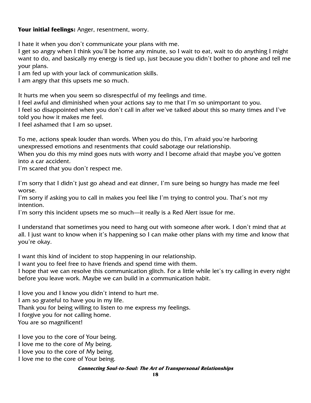### **Your initial feelings:** Anger, resentment, worry.

I hate it when you don't communicate your plans with me.

I get so angry when I think you'll be home any minute, so I wait to eat, wait to do anything I might want to do, and basically my energy is tied up, just because you didn't bother to phone and tell me your plans.

I am fed up with your lack of communication skills.

I am angry that this upsets me so much.

It hurts me when you seem so disrespectful of my feelings and time.

I feel awful and diminished when your actions say to me that I'm so unimportant to you.

I feel so disappointed when you don't call in after we've talked about this so many times and I've told you how it makes me feel.

I feel ashamed that I am so upset.

To me, actions speak louder than words. When you do this, I'm afraid you're harboring unexpressed emotions and resentments that could sabotage our relationship. When you do this my mind goes nuts with worry and I become afraid that maybe you've gotten into a car accident.

I'm scared that you don't respect me.

I'm sorry that I didn't just go ahead and eat dinner, I'm sure being so hungry has made me feel worse.

I'm sorry if asking you to call in makes you feel like I'm trying to control you. That's not my intention.

I'm sorry this incident upsets me so much—it really is a Red Alert issue for me.

I understand that sometimes you need to hang out with someone after work. I don't mind that at all. I just want to know when it's happening so I can make other plans with my time and know that you're okay.

I want this kind of incident to stop happening in our relationship.

I want you to feel free to have friends and spend time with them.

I hope that we can resolve this communication glitch. For a little while let's try calling in every night before you leave work. Maybe we can build in a communication habit.

I love you and I know you didn't intend to hurt me.

I am so grateful to have you in my life.

Thank you for being willing to listen to me express my feelings.

I forgive you for not calling home.

You are so magnificent!

I love you to the core of Your being. I love me to the core of My being. I love you to the core of My being.

I love me to the core of Your being.

#### **Connecting Soul-to-Soul: The Art of Transpersonal Relationships**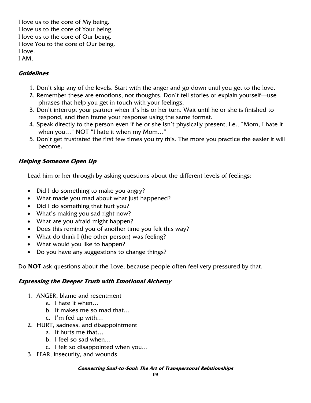I love us to the core of My being. I love us to the core of Your being. I love us to the core of Our being. I love You to the core of Our being. I love. I AM.

# **Guidelines**

- 1. Don't skip any of the levels. Start with the anger and go down until you get to the love.
- 2. Remember these are emotions, not thoughts. Don't tell stories or explain yourself—use phrases that help you get in touch with your feelings.
- 3. Don't interrupt your partner when it's his or her turn. Wait until he or she is finished to respond, and then frame your response using the same format.
- 4. Speak directly to the person even if he or she isn't physically present, i.e., "Mom, I hate it when you…" NOT "I hate it when my Mom…"
- 5. Don't get frustrated the first few times you try this. The more you practice the easier it will become.

# **Helping Someone Open Up**

Lead him or her through by asking questions about the different levels of feelings:

- Did I do something to make you angry?
- What made you mad about what just happened?
- Did I do something that hurt you?
- What's making you sad right now?
- What are you afraid might happen?
- Does this remind you of another time you felt this way?
- What do think I (the other person) was feeling?
- What would you like to happen?
- Do you have any suggestions to change things?

Do **NOT** ask questions about the Love, because people often feel very pressured by that.

### **Expressing the Deeper Truth with Emotional Alchemy**

- 1. ANGER, blame and resentment
	- a. I hate it when…
	- b. It makes me so mad that…
	- c. I'm fed up with…
- 2. HURT, sadness, and disappointment
	- a. It hurts me that…
	- b. I feel so sad when…
	- c. I felt so disappointed when you…
- 3. FEAR, insecurity, and wounds

#### **Connecting Soul-to-Soul: The Art of Transpersonal Relationships**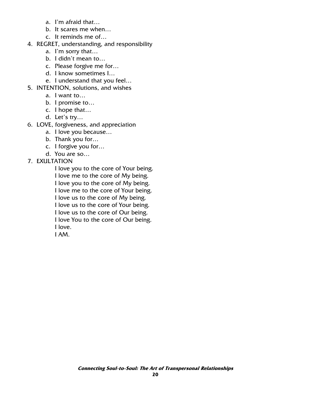- a. I'm afraid that…
- b. It scares me when…
- c. It reminds me of…
- 4. REGRET, understanding, and responsibility
	- a. I'm sorry that…
	- b. I didn't mean to…
	- c. Please forgive me for…
	- d. I know sometimes I…
	- e. I understand that you feel…
- 5. INTENTION, solutions, and wishes
	- a. I want to…
	- b. I promise to…
	- c. I hope that…
	- d. Let's try…
- 6. LOVE, forgiveness, and appreciation
	- a. I love you because…
	- b. Thank you for…
	- c. I forgive you for…
	- d. You are so…
- 7. EXULTATION

I love you to the core of Your being. I love me to the core of My being. I love you to the core of My being. I love me to the core of Your being. I love us to the core of My being. I love us to the core of Your being. I love us to the core of Our being. I love You to the core of Our being. I love. I AM.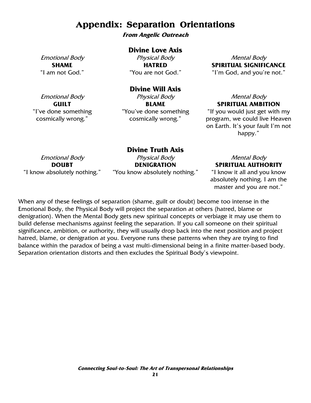# **Appendix: Separation Orientations**

**From Angelic Outreach** 

#### **Divine Love Axis**

Emotional Body **SHAME**  "I am not God."

Physical Body **HATRED**  "You are not God."

Mental Body **SPIRITUAL SIGNIFICANCE**  "I'm God, and you're not."

# **Divine Will Axis**

Emotional Body **GUILT**  "I've done something cosmically wrong."

Physical Body **BLAME**  "You've done something cosmically wrong."

# Mental Body **SPIRITUAL AMBITION**

"If you would just get with my program, we could live Heaven on Earth. It's your fault I'm not happy."

Emotional Body **DOUBT**  "I know absolutely nothing."

**Divine Truth Axis**  Physical Body **DENIGRATION**  "You know absolutely nothing."

# Mental Body **SPIRITUAL AUTHORITY**

"I know it all and you know absolutely nothing. I am the master and you are not."

When any of these feelings of separation (shame, guilt or doubt) become too intense in the Emotional Body, the Physical Body will project the separation at others (hatred, blame or denigration). When the Mental Body gets new spiritual concepts or verbiage it may use them to build defense mechanisms against feeling the separation. If you call someone on their spiritual significance, ambition, or authority, they will usually drop back into the next position and project hatred, blame, or denigration at you. Everyone runs these patterns when they are trying to find balance within the paradox of being a vast multi-dimensional being in a finite matter-based body. Separation orientation distorts and then excludes the Spiritual Body's viewpoint.